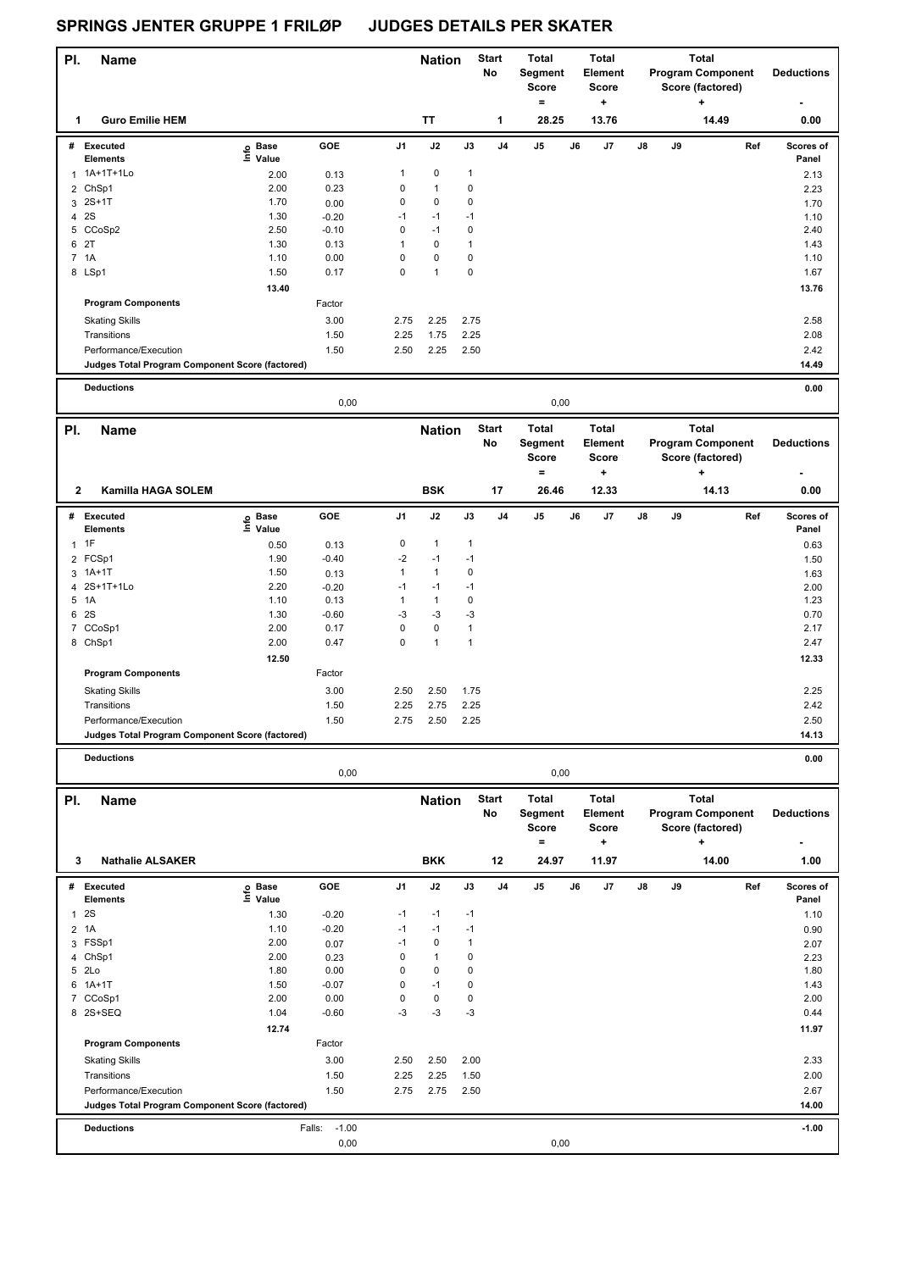| PI.            | <b>Name</b>                                     |                   |                   |              | <b>Nation</b>             |               | <b>Start</b><br>No | <b>Total</b><br>Segment<br>Score<br>$=$ |    | Total<br>Element<br>Score<br>÷ |    |    | <b>Total</b><br><b>Program Component</b><br>Score (factored)<br>$\ddot{}$ | <b>Deductions</b>         |
|----------------|-------------------------------------------------|-------------------|-------------------|--------------|---------------------------|---------------|--------------------|-----------------------------------------|----|--------------------------------|----|----|---------------------------------------------------------------------------|---------------------------|
| 1              | <b>Guro Emilie HEM</b>                          |                   |                   |              | <b>TT</b>                 |               | $\mathbf{1}$       | 28.25                                   |    | 13.76                          |    |    | 14.49                                                                     | 0.00                      |
|                | # Executed                                      | e Base<br>⊑ Value | GOE               | J1           | J2                        | J3            | J <sub>4</sub>     | J5                                      | J6 | J7                             | J8 | J9 |                                                                           | Ref<br>Scores of          |
|                | <b>Elements</b><br>1A+1T+1Lo                    |                   |                   | 1            | $\pmb{0}$                 | $\mathbf{1}$  |                    |                                         |    |                                |    |    |                                                                           | Panel                     |
| $\mathbf{1}$   |                                                 | 2.00              | 0.13              |              |                           | $\mathbf 0$   |                    |                                         |    |                                |    |    |                                                                           | 2.13                      |
|                | 2 ChSp1<br>2S+1T                                | 2.00<br>1.70      | 0.23              | 0<br>0       | $\mathbf{1}$<br>$\pmb{0}$ | $\mathbf 0$   |                    |                                         |    |                                |    |    |                                                                           | 2.23                      |
| 3<br>4 2 S     |                                                 | 1.30              | 0.00<br>$-0.20$   | $-1$         | $-1$                      | $-1$          |                    |                                         |    |                                |    |    |                                                                           | 1.70<br>1.10              |
|                | 5 CCoSp2                                        | 2.50              | $-0.10$           | 0            | $-1$                      | 0             |                    |                                         |    |                                |    |    |                                                                           | 2.40                      |
| 6 2T           |                                                 | 1.30              | 0.13              | $\mathbf{1}$ | $\pmb{0}$                 | $\mathbf{1}$  |                    |                                         |    |                                |    |    |                                                                           | 1.43                      |
| 7 1A           |                                                 | 1.10              | 0.00              | 0            | $\pmb{0}$                 | 0             |                    |                                         |    |                                |    |    |                                                                           | 1.10                      |
|                | 8 LSp1                                          | 1.50              | 0.17              | $\mathbf 0$  | $\mathbf{1}$              | $\mathbf 0$   |                    |                                         |    |                                |    |    |                                                                           | 1.67                      |
|                |                                                 | 13.40             |                   |              |                           |               |                    |                                         |    |                                |    |    |                                                                           | 13.76                     |
|                | <b>Program Components</b>                       |                   | Factor            |              |                           |               |                    |                                         |    |                                |    |    |                                                                           |                           |
|                | <b>Skating Skills</b>                           |                   | 3.00              | 2.75         | 2.25                      | 2.75          |                    |                                         |    |                                |    |    |                                                                           | 2.58                      |
|                | Transitions                                     |                   | 1.50              | 2.25         | 1.75                      | 2.25          |                    |                                         |    |                                |    |    |                                                                           | 2.08                      |
|                | Performance/Execution                           |                   | 1.50              | 2.50         | 2.25                      | 2.50          |                    |                                         |    |                                |    |    |                                                                           | 2.42                      |
|                | Judges Total Program Component Score (factored) |                   |                   |              |                           |               |                    |                                         |    |                                |    |    |                                                                           | 14.49                     |
|                |                                                 |                   |                   |              |                           |               |                    |                                         |    |                                |    |    |                                                                           |                           |
|                | <b>Deductions</b>                               |                   | 0,00              |              |                           |               |                    | 0,00                                    |    |                                |    |    |                                                                           | 0.00                      |
| PI.            | Name                                            |                   |                   |              | <b>Nation</b>             |               | <b>Start</b>       | <b>Total</b>                            |    | Total                          |    |    | <b>Total</b>                                                              |                           |
|                |                                                 |                   |                   |              |                           |               | No                 | Segment<br><b>Score</b>                 |    | Element<br><b>Score</b>        |    |    | <b>Program Component</b><br>Score (factored)                              | <b>Deductions</b>         |
| $\mathbf{2}$   | Kamilla HAGA SOLEM                              |                   |                   |              | <b>BSK</b>                |               | 17                 | $\equiv$<br>26.46                       |    | $\ddot{}$<br>12.33             |    |    | ٠<br>14.13                                                                | 0.00                      |
|                |                                                 |                   |                   |              |                           |               |                    |                                         |    |                                |    |    |                                                                           |                           |
|                | # Executed<br><b>Elements</b>                   | e Base<br>⊑ Value | GOE               | J1           | J2                        | $\mathsf{J3}$ | J <sub>4</sub>     | J5                                      | J6 | J7                             | J8 | J9 |                                                                           | Ref<br>Scores of<br>Panel |
| $\mathbf{1}$   | 1F                                              | 0.50              | 0.13              | 0            | $\mathbf{1}$              | $\mathbf{1}$  |                    |                                         |    |                                |    |    |                                                                           | 0.63                      |
|                | 2 FCSp1                                         | 1.90              | $-0.40$           | $-2$         | $-1$                      | $-1$          |                    |                                         |    |                                |    |    |                                                                           | 1.50                      |
|                | 3 1A+1T                                         | 1.50              | 0.13              | $\mathbf{1}$ | $\mathbf{1}$              | 0             |                    |                                         |    |                                |    |    |                                                                           | 1.63                      |
|                | 4 2S+1T+1Lo                                     | 2.20              | $-0.20$           | $-1$         | $-1$                      | $-1$          |                    |                                         |    |                                |    |    |                                                                           | 2.00                      |
| 5              | 1A                                              | 1.10              | 0.13              | $\mathbf{1}$ | $\mathbf{1}$              | 0             |                    |                                         |    |                                |    |    |                                                                           | 1.23                      |
| 6 2S           |                                                 | 1.30              | $-0.60$           | -3           | -3                        | $-3$          |                    |                                         |    |                                |    |    |                                                                           | 0.70                      |
|                | 7 CCoSp1                                        | 2.00              | 0.17              | $\mathsf 0$  | $\pmb{0}$                 | $\mathbf{1}$  |                    |                                         |    |                                |    |    |                                                                           | 2.17                      |
|                | 8 ChSp1                                         | 2.00              | 0.47              | $\mathbf 0$  | $\mathbf{1}$              | $\mathbf{1}$  |                    |                                         |    |                                |    |    |                                                                           | 2.47                      |
|                |                                                 | 12.50             |                   |              |                           |               |                    |                                         |    |                                |    |    |                                                                           | 12.33                     |
|                | <b>Program Components</b>                       |                   | Factor            |              |                           |               |                    |                                         |    |                                |    |    |                                                                           |                           |
|                | <b>Skating Skills</b>                           |                   | 3.00              | 2.50         | 2.50                      | 1.75          |                    |                                         |    |                                |    |    |                                                                           | 2.25                      |
|                | Transitions                                     |                   | 1.50              | 2.25         | 2.75                      | 2.25          |                    |                                         |    |                                |    |    |                                                                           | 2.42                      |
|                | Performance/Execution                           |                   | 1.50              | 2.75         | 2.50                      | 2.25          |                    |                                         |    |                                |    |    |                                                                           | 2.50                      |
|                | Judges Total Program Component Score (factored) |                   |                   |              |                           |               |                    |                                         |    |                                |    |    |                                                                           | 14.13                     |
|                |                                                 |                   |                   |              |                           |               |                    |                                         |    |                                |    |    |                                                                           |                           |
|                | <b>Deductions</b>                               |                   | 0,00              |              |                           |               |                    | 0,00                                    |    |                                |    |    |                                                                           | 0.00                      |
|                |                                                 |                   |                   |              |                           |               | <b>Start</b>       | <b>Total</b>                            |    | <b>Total</b>                   |    |    | <b>Total</b>                                                              |                           |
| PI.            | <b>Name</b>                                     |                   |                   |              | <b>Nation</b>             |               | No                 | Segment                                 |    | Element                        |    |    | <b>Program Component</b>                                                  | <b>Deductions</b>         |
|                |                                                 |                   |                   |              |                           |               |                    | <b>Score</b>                            |    | <b>Score</b>                   |    |    | Score (factored)                                                          |                           |
|                |                                                 |                   |                   |              |                           |               |                    | $=$                                     |    | ÷                              |    |    | ÷                                                                         |                           |
| 3              | <b>Nathalie ALSAKER</b>                         |                   |                   |              | <b>BKK</b>                |               | 12                 | 24.97                                   |    | 11.97                          |    |    | 14.00                                                                     | 1.00                      |
|                | # Executed                                      |                   | GOE               | J1           | J2                        | J3            | J <sub>4</sub>     | J5                                      | J6 | J7                             | J8 | J9 |                                                                           | Ref<br>Scores of          |
|                | <b>Elements</b>                                 | e Base<br>⊑ Value |                   |              |                           |               |                    |                                         |    |                                |    |    |                                                                           | Panel                     |
| 1              | 2S                                              | 1.30              | $-0.20$           | $-1$         | $-1$                      | $-1$          |                    |                                         |    |                                |    |    |                                                                           | 1.10                      |
| $\overline{2}$ | 1A                                              | 1.10              | $-0.20$           | $-1$         | $-1$                      | $-1$          |                    |                                         |    |                                |    |    |                                                                           | 0.90                      |
|                | 3 FSSp1                                         | 2.00              | 0.07              | $-1$         | 0                         | $\mathbf{1}$  |                    |                                         |    |                                |    |    |                                                                           | 2.07                      |
|                | 4 ChSp1                                         | 2.00              | 0.23              | 0            | $\mathbf{1}$              | 0             |                    |                                         |    |                                |    |    |                                                                           | 2.23                      |
| 5 2Lo          |                                                 | 1.80              | 0.00              | 0            | $\pmb{0}$                 | 0             |                    |                                         |    |                                |    |    |                                                                           | 1.80                      |
| 6              | $1A+1T$                                         | 1.50              | $-0.07$           | 0            | $-1$                      | 0             |                    |                                         |    |                                |    |    |                                                                           | 1.43                      |
|                | 7 CCoSp1<br>8 2S+SEQ                            | 2.00<br>1.04      | 0.00<br>$-0.60$   | 0<br>-3      | 0<br>-3                   | 0<br>$-3$     |                    |                                         |    |                                |    |    |                                                                           | 2.00<br>0.44              |
|                |                                                 | 12.74             |                   |              |                           |               |                    |                                         |    |                                |    |    |                                                                           | 11.97                     |
|                | <b>Program Components</b>                       |                   | Factor            |              |                           |               |                    |                                         |    |                                |    |    |                                                                           |                           |
|                |                                                 |                   |                   |              |                           |               |                    |                                         |    |                                |    |    |                                                                           |                           |
|                | <b>Skating Skills</b>                           |                   | 3.00              | 2.50         | 2.50                      | 2.00          |                    |                                         |    |                                |    |    |                                                                           | 2.33                      |
|                | Transitions<br>Performance/Execution            |                   | 1.50              | 2.25         | 2.25                      | 1.50          |                    |                                         |    |                                |    |    |                                                                           | 2.00                      |
|                | Judges Total Program Component Score (factored) |                   | 1.50              | 2.75         | 2.75                      | 2.50          |                    |                                         |    |                                |    |    |                                                                           | 2.67<br>14.00             |
|                |                                                 |                   |                   |              |                           |               |                    |                                         |    |                                |    |    |                                                                           |                           |
|                | <b>Deductions</b>                               |                   | $-1.00$<br>Falls: |              |                           |               |                    |                                         |    |                                |    |    |                                                                           | $-1.00$                   |
|                |                                                 |                   | 0,00              |              |                           |               |                    | 0,00                                    |    |                                |    |    |                                                                           |                           |
|                |                                                 |                   |                   |              |                           |               |                    |                                         |    |                                |    |    |                                                                           |                           |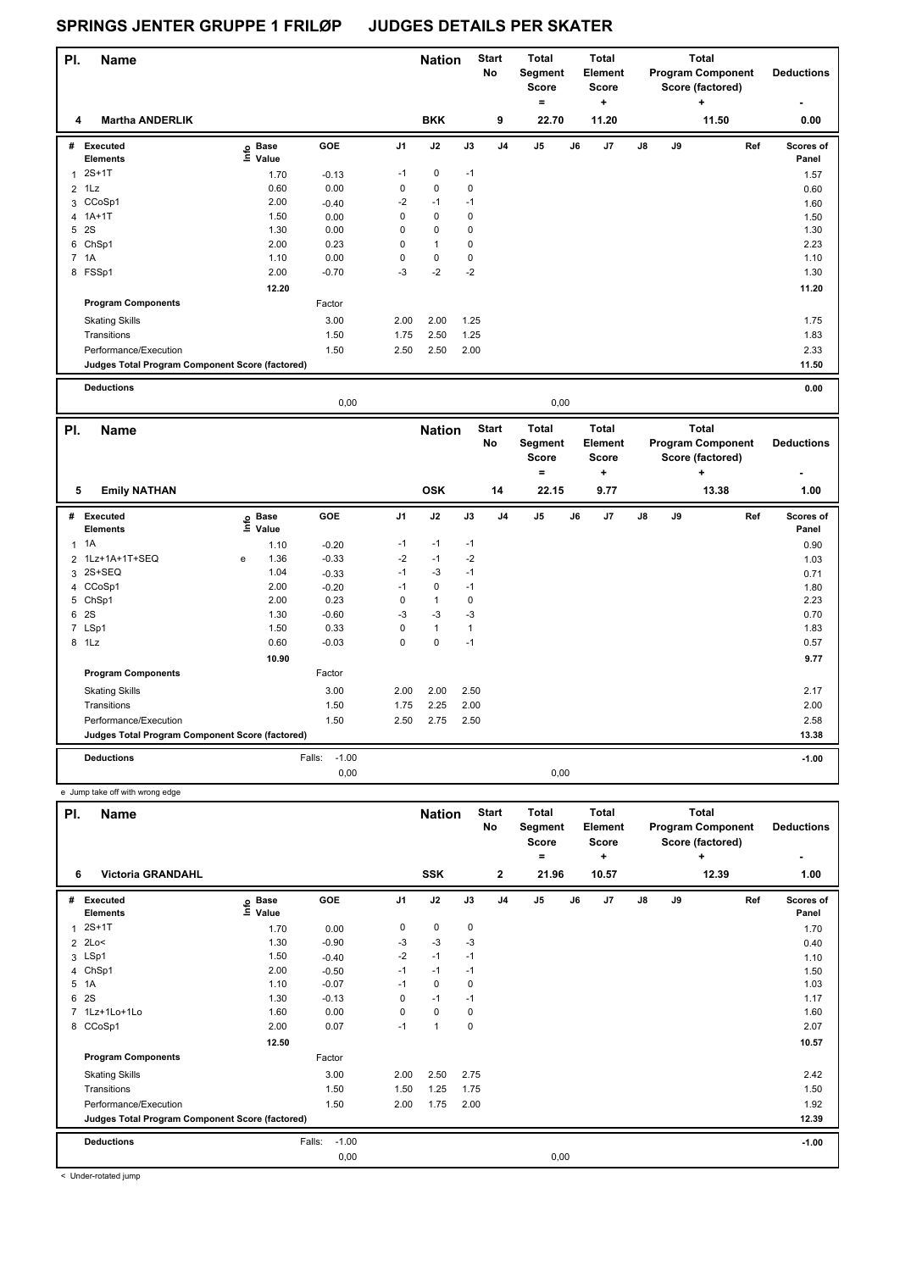Skating Skills 2.00 2.00 2.50

Factor

| PI.            | <b>Name</b>                                     |                              |         |                | <b>Nation</b> |             | <b>Start</b>              | <b>Total</b>                            |    | <b>Total</b>                            |               |    | <b>Total</b>                                                 |     |                    |
|----------------|-------------------------------------------------|------------------------------|---------|----------------|---------------|-------------|---------------------------|-----------------------------------------|----|-----------------------------------------|---------------|----|--------------------------------------------------------------|-----|--------------------|
|                |                                                 |                              |         |                |               |             | <b>No</b>                 | Segment<br><b>Score</b>                 |    | Element<br><b>Score</b>                 |               |    | <b>Program Component</b><br>Score (factored)                 |     | <b>Deductions</b>  |
|                |                                                 |                              |         |                |               |             |                           | $\equiv$                                |    | ۰.                                      |               |    | +                                                            |     |                    |
| 4              | <b>Martha ANDERLIK</b>                          |                              |         |                | <b>BKK</b>    |             | 9                         | 22.70                                   |    | 11.20                                   |               |    | 11.50                                                        |     | 0.00               |
| #              | <b>Executed</b><br><b>Elements</b>              | o Base<br>Ξ.<br>Value        | GOE     | J1             | J2            | J3          | J <sub>4</sub>            | J <sub>5</sub>                          | J6 | J7                                      | J8            | J9 |                                                              | Ref | Scores of<br>Panel |
| $\mathbf{1}$   | $2S+1T$                                         | 1.70                         | $-0.13$ | $-1$           | $\pmb{0}$     | $-1$        |                           |                                         |    |                                         |               |    |                                                              |     | 1.57               |
| $\overline{2}$ | 1Lz                                             | 0.60                         | 0.00    | $\pmb{0}$      | $\mathbf 0$   | 0           |                           |                                         |    |                                         |               |    |                                                              |     | 0.60               |
|                | 3 CCoSp1                                        | 2.00                         | $-0.40$ | $-2$           | $-1$          | $-1$        |                           |                                         |    |                                         |               |    |                                                              |     | 1.60               |
| 4              | $1A+1T$                                         | 1.50                         | 0.00    | $\mathbf 0$    | $\mathbf 0$   | $\pmb{0}$   |                           |                                         |    |                                         |               |    |                                                              |     | 1.50               |
| 5              | 2S                                              | 1.30                         | 0.00    | $\mathbf 0$    | $\mathbf 0$   | 0           |                           |                                         |    |                                         |               |    |                                                              |     | 1.30               |
| 6              | ChSp1                                           | 2.00                         | 0.23    | $\mathbf 0$    | $\mathbf{1}$  | $\mathbf 0$ |                           |                                         |    |                                         |               |    |                                                              |     | 2.23               |
|                | 7 1A                                            | 1.10                         | 0.00    | $\pmb{0}$      | 0             | 0           |                           |                                         |    |                                         |               |    |                                                              |     | 1.10               |
|                | 8 FSSp1                                         | 2.00                         | $-0.70$ | $-3$           | $-2$          | $-2$        |                           |                                         |    |                                         |               |    |                                                              |     | 1.30               |
|                |                                                 | 12.20                        |         |                |               |             |                           |                                         |    |                                         |               |    |                                                              |     | 11.20              |
|                | <b>Program Components</b>                       |                              | Factor  |                |               |             |                           |                                         |    |                                         |               |    |                                                              |     |                    |
|                | <b>Skating Skills</b>                           |                              | 3.00    | 2.00           | 2.00          | 1.25        |                           |                                         |    |                                         |               |    |                                                              |     | 1.75               |
|                | Transitions                                     |                              | 1.50    | 1.75           | 2.50          | 1.25        |                           |                                         |    |                                         |               |    |                                                              |     | 1.83               |
|                | Performance/Execution                           |                              | 1.50    | 2.50           | 2.50          | 2.00        |                           |                                         |    |                                         |               |    |                                                              |     | 2.33               |
|                | Judges Total Program Component Score (factored) |                              |         |                |               |             |                           |                                         |    |                                         |               |    |                                                              |     | 11.50              |
|                |                                                 |                              |         |                |               |             |                           |                                         |    |                                         |               |    |                                                              |     |                    |
|                | <b>Deductions</b>                               |                              |         |                |               |             |                           |                                         |    |                                         |               |    |                                                              |     | 0.00               |
|                |                                                 |                              | 0,00    |                |               |             |                           | 0,00                                    |    |                                         |               |    |                                                              |     |                    |
| PI.            | <b>Name</b>                                     |                              |         |                | <b>Nation</b> |             | <b>Start</b><br><b>No</b> | <b>Total</b><br>Segment<br><b>Score</b> |    | <b>Total</b><br>Element<br><b>Score</b> |               |    | <b>Total</b><br><b>Program Component</b><br>Score (factored) |     | <b>Deductions</b>  |
|                |                                                 |                              |         |                |               |             |                           | $\equiv$                                |    | ۰.                                      |               |    | ÷                                                            |     |                    |
| 5              |                                                 |                              |         |                | <b>OSK</b>    |             | 14                        | 22.15                                   |    | 9.77                                    |               |    | 13.38                                                        |     | 1.00               |
|                | <b>Emily NATHAN</b>                             |                              |         |                |               |             |                           |                                         |    |                                         |               |    |                                                              |     |                    |
|                | # Executed<br><b>Elements</b>                   | <b>Base</b><br>lnfo<br>Value | GOE     | J <sub>1</sub> | J2            | J3          | J <sub>4</sub>            | J <sub>5</sub>                          | J6 | J <sub>7</sub>                          | $\mathsf{J}8$ | J9 |                                                              | Ref | Scores of<br>Panel |
| $\mathbf{1}$   | 1A                                              | 1.10                         | $-0.20$ | $-1$           | $-1$          | $-1$        |                           |                                         |    |                                         |               |    |                                                              |     | 0.90               |

 1Lz+1A+1T+SEQ e 1.36 -0.33 -2 -1 -2 1.03 2S+SEQ 1.04 -0.33 -1 -3 -1 0.71 CCoSp1 2.00 -0.20 -1 0 -1 1.80 ChSp1 2.00 0.23 0 1 0 2.23  $6 \t2S$  1.30  $-0.60$   $-3$   $-3$   $-3$   $-3$   $-3$   $-3$   $-1$   $-1$   $0.70$  LSp1 1.50 0.33 0 1 1 1.83 1Lz 0.60 -0.03 0 0 -1 0.57

Transitions 1.50 1.75 2.25 2.00 2.00 Performance/Execution 2.50 2.58 2.50 2.75 2.50 2.75 2.50 2.58 2.58 2.58 2.58 2.58

**Judges Total Program Component Score (factored) 13.38**

0,00 0,00

 **10.90 9.77**

3.00 2.17

**Deductions** Falls: -1.00 **-1.00**

**Program Components** 

 e Jump take off with wrong edge **Name Deductions - Nation Start** Total **Segment Score = Total Element Score + Total Program Component Score (factored) + PI.** Name **Start PI.** Nation Start **No # Executed Elements Base Value GOE J1 J2 J3 J4 J5 J6 J7 J8 J9 Scores of Panel** 1 1 2S+1T<br>2 2Lo< 1.70 0.00 0 0 0 0 2 2Lo< 1.30 -0.90 -3 -3 -3 **Ref**  2S+1T 1.70 **Info 6 Victoria GRANDAHL SSK 2 21.96 10.57 12.39 1.00** 2 2Lo< 1.30 -0.90 -3 -3 -3 0.40  $3 \text{ LSp1}$  1.10  $1.50$   $-0.40$   $-2$   $-1$   $-1$ 4 ChSp1 2.00 -0.50 -1 -1 -1 1.50 5 1A 1.03 -0.07 -1 0 0 6 2S 1.30 -0.13 0 -1 -1 1.17 7 1Lz+1Lo+1Lo 1.60 0.00 0 0 0 1.60 8 CCoSp1 2.00 0.07 -1 1 0 2.07  **12.50** 10.57 **Program Components**  Skating Skills 2.00 2.50 2.75 Factor 3.00 2.42 Transitions 1.50 1.50 1.25 1.75 1.50 Performance/Execution 1.50 2.00 1.75 2.00 1.92 **Deductions** Falls: -1.00 **-1.00 Judges Total Program Component Score (factored) 12.39** 0,00 0,00

< Under-rotated jump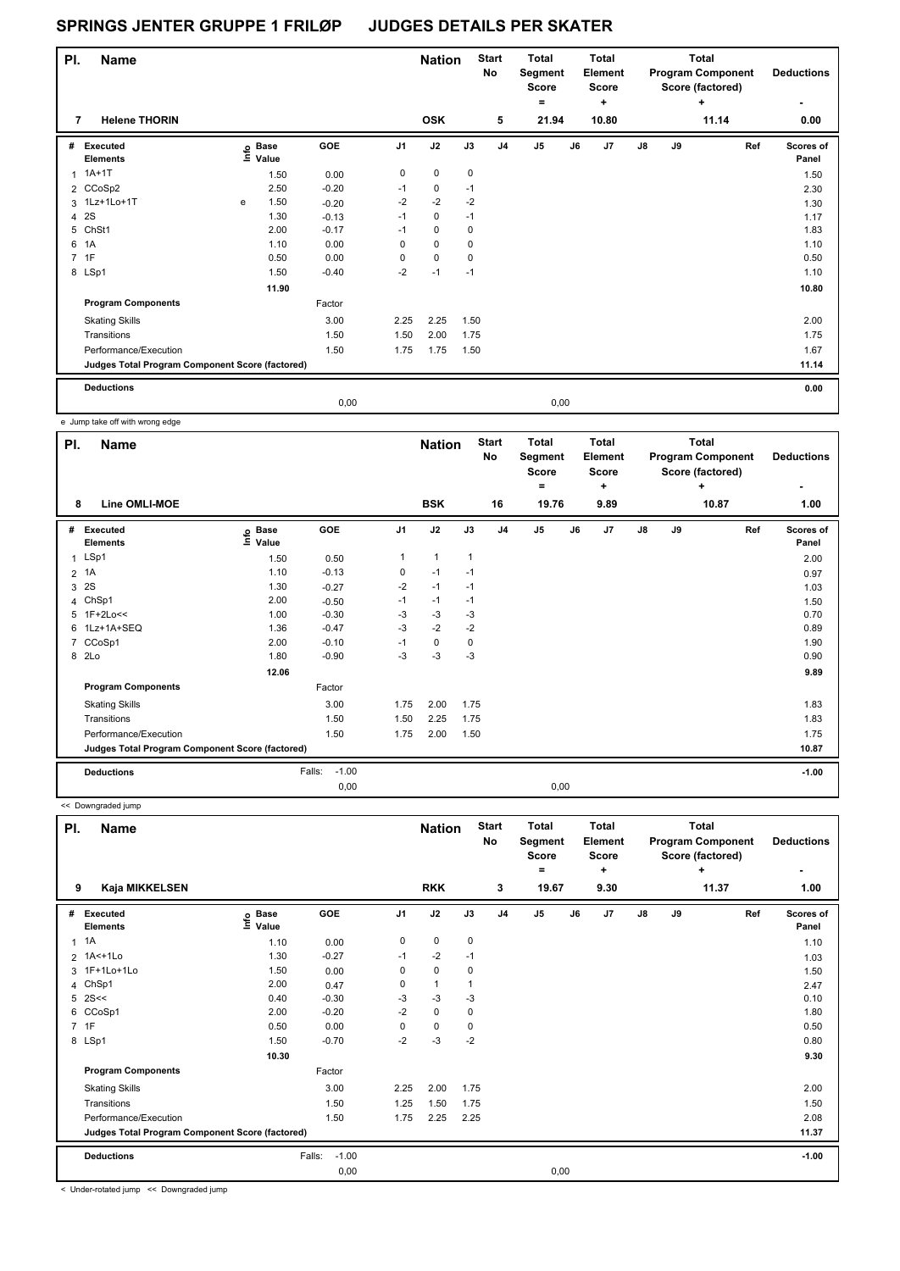| PI. | <b>Name</b>                                     |   |                   |            |             | <b>Nation</b> |             | <b>Start</b><br>No | Total<br>Segment<br><b>Score</b><br>۰ |      | <b>Total</b><br>Element<br>Score<br>٠ |               |    | <b>Total</b><br><b>Program Component</b><br>Score (factored)<br>٠ | <b>Deductions</b>  |
|-----|-------------------------------------------------|---|-------------------|------------|-------------|---------------|-------------|--------------------|---------------------------------------|------|---------------------------------------|---------------|----|-------------------------------------------------------------------|--------------------|
| 7   | <b>Helene THORIN</b>                            |   |                   |            |             | <b>OSK</b>    |             | 5                  | 21.94                                 |      | 10.80                                 |               |    | 11.14                                                             | 0.00               |
| #   | Executed<br><b>Elements</b>                     |   | e Base<br>⊆ Value | <b>GOE</b> | J1          | J2            | J3          | J <sub>4</sub>     | $\mathsf{J}5$                         | J6   | J7                                    | $\mathsf{J}8$ | J9 | Ref                                                               | Scores of<br>Panel |
| 1   | $1A+1T$                                         |   | 1.50              | 0.00       | $\mathbf 0$ | $\mathbf 0$   | $\mathbf 0$ |                    |                                       |      |                                       |               |    |                                                                   | 1.50               |
|     | 2 CCoSp2                                        |   | 2.50              | $-0.20$    | $-1$        | 0             | $-1$        |                    |                                       |      |                                       |               |    |                                                                   | 2.30               |
|     | 3 1Lz+1Lo+1T                                    | e | 1.50              | $-0.20$    | $-2$        | $-2$          | $-2$        |                    |                                       |      |                                       |               |    |                                                                   | 1.30               |
| 4   | 2S                                              |   | 1.30              | $-0.13$    | $-1$        | $\mathbf 0$   | $-1$        |                    |                                       |      |                                       |               |    |                                                                   | 1.17               |
|     | 5 ChSt1                                         |   | 2.00              | $-0.17$    | $-1$        | 0             | 0           |                    |                                       |      |                                       |               |    |                                                                   | 1.83               |
| 6   | 1A                                              |   | 1.10              | 0.00       | 0           | $\mathbf 0$   | 0           |                    |                                       |      |                                       |               |    |                                                                   | 1.10               |
|     | 7 1F                                            |   | 0.50              | 0.00       | 0           | $\mathbf 0$   | 0           |                    |                                       |      |                                       |               |    |                                                                   | 0.50               |
|     | 8 LSp1                                          |   | 1.50              | $-0.40$    | $-2$        | $-1$          | $-1$        |                    |                                       |      |                                       |               |    |                                                                   | 1.10               |
|     |                                                 |   | 11.90             |            |             |               |             |                    |                                       |      |                                       |               |    |                                                                   | 10.80              |
|     | <b>Program Components</b>                       |   |                   | Factor     |             |               |             |                    |                                       |      |                                       |               |    |                                                                   |                    |
|     | <b>Skating Skills</b>                           |   |                   | 3.00       | 2.25        | 2.25          | 1.50        |                    |                                       |      |                                       |               |    |                                                                   | 2.00               |
|     | Transitions                                     |   |                   | 1.50       | 1.50        | 2.00          | 1.75        |                    |                                       |      |                                       |               |    |                                                                   | 1.75               |
|     | Performance/Execution                           |   |                   | 1.50       | 1.75        | 1.75          | 1.50        |                    |                                       |      |                                       |               |    |                                                                   | 1.67               |
|     | Judges Total Program Component Score (factored) |   |                   |            |             |               |             |                    |                                       |      |                                       |               |    |                                                                   | 11.14              |
|     | <b>Deductions</b>                               |   |                   |            |             |               |             |                    |                                       |      |                                       |               |    |                                                                   | 0.00               |
|     |                                                 |   |                   | 0.00       |             |               |             |                    |                                       | 0,00 |                                       |               |    |                                                                   |                    |

e Jump take off with wrong edge

| PI.            | <b>Name</b>                                     |                                  |                   |                | <b>Nation</b>  |                | <b>Start</b><br><b>No</b> | <b>Total</b><br>Segment<br><b>Score</b><br>$=$ |    | Total<br>Element<br><b>Score</b><br>+ |               |    | <b>Total</b><br><b>Program Component</b><br>Score (factored)<br>$\ddot{}$ | <b>Deductions</b>  |
|----------------|-------------------------------------------------|----------------------------------|-------------------|----------------|----------------|----------------|---------------------------|------------------------------------------------|----|---------------------------------------|---------------|----|---------------------------------------------------------------------------|--------------------|
| 8              | Line OMLI-MOE                                   |                                  |                   |                | <b>BSK</b>     |                | 16                        | 19.76                                          |    | 9.89                                  |               |    | 10.87                                                                     | 1.00               |
| #              | <b>Executed</b><br><b>Elements</b>              | <b>Base</b><br>e Base<br>⊆ Value | GOE               | J <sub>1</sub> | J2             | J3             | J <sub>4</sub>            | J <sub>5</sub>                                 | J6 | J <sub>7</sub>                        | $\mathsf{J}8$ | J9 | Ref                                                                       | Scores of<br>Panel |
| $\mathbf{1}$   | LSp1                                            | 1.50                             | 0.50              | 1              | $\overline{1}$ | $\overline{1}$ |                           |                                                |    |                                       |               |    |                                                                           | 2.00               |
|                | 2 1A                                            | 1.10                             | $-0.13$           | 0              | $-1$           | $-1$           |                           |                                                |    |                                       |               |    |                                                                           | 0.97               |
| 3              | 2S                                              | 1.30                             | $-0.27$           | $-2$           | $-1$           | $-1$           |                           |                                                |    |                                       |               |    |                                                                           | 1.03               |
| 4              | ChSp1                                           | 2.00                             | $-0.50$           | $-1$           | $-1$           | $-1$           |                           |                                                |    |                                       |               |    |                                                                           | 1.50               |
| 5              | $1F+2Lo<<$                                      | 1.00                             | $-0.30$           | $-3$           | $-3$           | $-3$           |                           |                                                |    |                                       |               |    |                                                                           | 0.70               |
| 6              | 1Lz+1A+SEQ                                      | 1.36                             | $-0.47$           | $-3$           | $-2$           | $-2$           |                           |                                                |    |                                       |               |    |                                                                           | 0.89               |
| $\overline{7}$ | CCoSp1                                          | 2.00                             | $-0.10$           | $-1$           | 0              | 0              |                           |                                                |    |                                       |               |    |                                                                           | 1.90               |
|                | 8 2Lo                                           | 1.80                             | $-0.90$           | $-3$           | $-3$           | $-3$           |                           |                                                |    |                                       |               |    |                                                                           | 0.90               |
|                |                                                 | 12.06                            |                   |                |                |                |                           |                                                |    |                                       |               |    |                                                                           | 9.89               |
|                | <b>Program Components</b>                       |                                  | Factor            |                |                |                |                           |                                                |    |                                       |               |    |                                                                           |                    |
|                | <b>Skating Skills</b>                           |                                  | 3.00              | 1.75           | 2.00           | 1.75           |                           |                                                |    |                                       |               |    |                                                                           | 1.83               |
|                | Transitions                                     |                                  | 1.50              | 1.50           | 2.25           | 1.75           |                           |                                                |    |                                       |               |    |                                                                           | 1.83               |
|                | Performance/Execution                           |                                  | 1.50              | 1.75           | 2.00           | 1.50           |                           |                                                |    |                                       |               |    |                                                                           | 1.75               |
|                | Judges Total Program Component Score (factored) |                                  |                   |                |                |                |                           |                                                |    |                                       |               |    |                                                                           | 10.87              |
|                | <b>Deductions</b>                               |                                  | $-1.00$<br>Falls: |                |                |                |                           |                                                |    |                                       |               |    |                                                                           | $-1.00$            |
|                |                                                 |                                  | 0,00              |                |                |                |                           | 0,00                                           |    |                                       |               |    |                                                                           |                    |

| << Downgraded jump |
|--------------------|

| PI.            | <b>Name</b>                                     |                   |                   |                | <b>Nation</b> |              | <b>Start</b><br>No | <b>Total</b><br>Segment<br><b>Score</b><br>۰ |    | <b>Total</b><br>Element<br><b>Score</b><br>٠ |               |    | Total<br><b>Program Component</b><br>Score (factored)<br>$\ddot{}$ | <b>Deductions</b>         |
|----------------|-------------------------------------------------|-------------------|-------------------|----------------|---------------|--------------|--------------------|----------------------------------------------|----|----------------------------------------------|---------------|----|--------------------------------------------------------------------|---------------------------|
| 9              | Kaja MIKKELSEN                                  |                   |                   |                | <b>RKK</b>    |              | 3                  | 19.67                                        |    | 9.30                                         |               |    | 11.37                                                              | 1.00                      |
| #              | <b>Executed</b><br><b>Elements</b>              | e Base<br>⊑ Value | <b>GOE</b>        | J <sub>1</sub> | J2            | J3           | J <sub>4</sub>     | J <sub>5</sub>                               | J6 | J7                                           | $\mathsf{J}8$ | J9 | Ref                                                                | <b>Scores of</b><br>Panel |
| 1              | 1A                                              | 1.10              | 0.00              | 0              | $\pmb{0}$     | 0            |                    |                                              |    |                                              |               |    |                                                                    | 1.10                      |
|                | 2 1A<+1Lo                                       | 1.30              | $-0.27$           | $-1$           | $-2$          | $-1$         |                    |                                              |    |                                              |               |    |                                                                    | 1.03                      |
| 3              | 1F+1Lo+1Lo                                      | 1.50              | 0.00              | 0              | $\mathbf 0$   | 0            |                    |                                              |    |                                              |               |    |                                                                    | 1.50                      |
|                | 4 ChSp1                                         | 2.00              | 0.47              | 0              | $\mathbf{1}$  | $\mathbf{1}$ |                    |                                              |    |                                              |               |    |                                                                    | 2.47                      |
| 5              | 2S <                                            | 0.40              | $-0.30$           | -3             | -3            | -3           |                    |                                              |    |                                              |               |    |                                                                    | 0.10                      |
| 6              | CCoSp1                                          | 2.00              | $-0.20$           | $-2$           | $\mathbf 0$   | 0            |                    |                                              |    |                                              |               |    |                                                                    | 1.80                      |
| $\overline{7}$ | 1F                                              | 0.50              | 0.00              | 0              | 0             | 0            |                    |                                              |    |                                              |               |    |                                                                    | 0.50                      |
|                | 8 LSp1                                          | 1.50              | $-0.70$           | $-2$           | $-3$          | $-2$         |                    |                                              |    |                                              |               |    |                                                                    | 0.80                      |
|                |                                                 | 10.30             |                   |                |               |              |                    |                                              |    |                                              |               |    |                                                                    | 9.30                      |
|                | <b>Program Components</b>                       |                   | Factor            |                |               |              |                    |                                              |    |                                              |               |    |                                                                    |                           |
|                | <b>Skating Skills</b>                           |                   | 3.00              | 2.25           | 2.00          | 1.75         |                    |                                              |    |                                              |               |    |                                                                    | 2.00                      |
|                | Transitions                                     |                   | 1.50              | 1.25           | 1.50          | 1.75         |                    |                                              |    |                                              |               |    |                                                                    | 1.50                      |
|                | Performance/Execution                           |                   | 1.50              | 1.75           | 2.25          | 2.25         |                    |                                              |    |                                              |               |    |                                                                    | 2.08                      |
|                | Judges Total Program Component Score (factored) |                   |                   |                |               |              |                    |                                              |    |                                              |               |    |                                                                    | 11.37                     |
|                | <b>Deductions</b>                               |                   | $-1.00$<br>Falls: |                |               |              |                    |                                              |    |                                              |               |    |                                                                    | $-1.00$                   |
|                |                                                 |                   | 0,00              |                |               |              |                    | 0,00                                         |    |                                              |               |    |                                                                    |                           |

< Under-rotated jump << Downgraded jump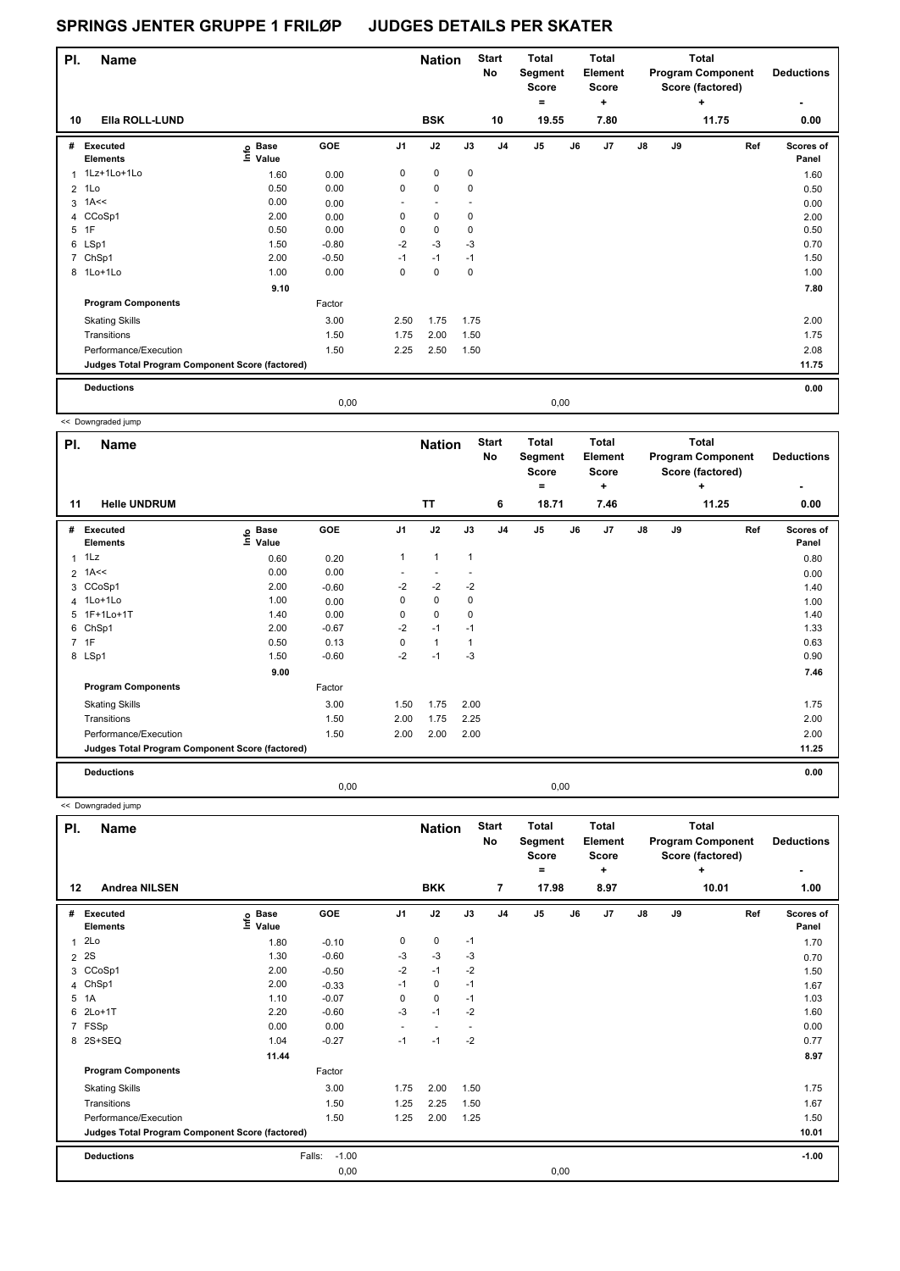| PI.            | <b>Name</b>                                     |                              |         |                          | <b>Nation</b>            |                          | <b>Start</b><br>No | Total<br>Segment<br>Score<br>۰ |      | Total<br>Element<br><b>Score</b><br>٠ |               |    | <b>Total</b><br><b>Program Component</b><br>Score (factored)<br>٠ | <b>Deductions</b>  |
|----------------|-------------------------------------------------|------------------------------|---------|--------------------------|--------------------------|--------------------------|--------------------|--------------------------------|------|---------------------------------------|---------------|----|-------------------------------------------------------------------|--------------------|
| 10             | Ella ROLL-LUND                                  |                              |         |                          | <b>BSK</b>               |                          | 10                 | 19.55                          |      | 7.80                                  |               |    | 11.75                                                             | 0.00               |
| #              | Executed<br><b>Elements</b>                     | <b>Base</b><br>١nfo<br>Value | GOE     | J <sub>1</sub>           | J2                       | J3                       | J <sub>4</sub>     | J5                             | J6   | J <sub>7</sub>                        | $\mathsf{J}8$ | J9 | Ref                                                               | Scores of<br>Panel |
|                | 1 1Lz+1Lo+1Lo                                   | 1.60                         | 0.00    | 0                        | 0                        | 0                        |                    |                                |      |                                       |               |    |                                                                   | 1.60               |
| $\overline{2}$ | 1Lo                                             | 0.50                         | 0.00    | 0                        | 0                        | 0                        |                    |                                |      |                                       |               |    |                                                                   | 0.50               |
|                | $3$ 1A $\leq$                                   | 0.00                         | 0.00    | $\overline{\phantom{a}}$ | $\overline{\phantom{a}}$ | $\overline{\phantom{a}}$ |                    |                                |      |                                       |               |    |                                                                   | 0.00               |
| 4              | CCoSp1                                          | 2.00                         | 0.00    | 0                        | 0                        | 0                        |                    |                                |      |                                       |               |    |                                                                   | 2.00               |
| 5              | 1F                                              | 0.50                         | 0.00    | 0                        | 0                        | 0                        |                    |                                |      |                                       |               |    |                                                                   | 0.50               |
|                | 6 LSp1                                          | 1.50                         | $-0.80$ | $-2$                     | $-3$                     | $-3$                     |                    |                                |      |                                       |               |    |                                                                   | 0.70               |
| 7              | ChSp1                                           | 2.00                         | $-0.50$ | $-1$                     | $-1$                     | $-1$                     |                    |                                |      |                                       |               |    |                                                                   | 1.50               |
|                | 8 1Lo+1Lo                                       | 1.00                         | 0.00    | 0                        | 0                        | 0                        |                    |                                |      |                                       |               |    |                                                                   | 1.00               |
|                |                                                 | 9.10                         |         |                          |                          |                          |                    |                                |      |                                       |               |    |                                                                   | 7.80               |
|                | <b>Program Components</b>                       |                              | Factor  |                          |                          |                          |                    |                                |      |                                       |               |    |                                                                   |                    |
|                | <b>Skating Skills</b>                           |                              | 3.00    | 2.50                     | 1.75                     | 1.75                     |                    |                                |      |                                       |               |    |                                                                   | 2.00               |
|                | Transitions                                     |                              | 1.50    | 1.75                     | 2.00                     | 1.50                     |                    |                                |      |                                       |               |    |                                                                   | 1.75               |
|                | Performance/Execution                           |                              | 1.50    | 2.25                     | 2.50                     | 1.50                     |                    |                                |      |                                       |               |    |                                                                   | 2.08               |
|                | Judges Total Program Component Score (factored) |                              |         |                          |                          |                          |                    |                                |      |                                       |               |    |                                                                   | 11.75              |
|                | <b>Deductions</b>                               |                              |         |                          |                          |                          |                    |                                |      |                                       |               |    |                                                                   | 0.00               |
|                |                                                 |                              | 0,00    |                          |                          |                          |                    |                                | 0,00 |                                       |               |    |                                                                   |                    |

<< Downgraded jump

| PI.            | <b>Name</b>                                     |                            |            |                | <b>Nation</b> |              | <b>Start</b><br>No | <b>Total</b><br>Segment<br><b>Score</b><br>$=$ |    | Total<br>Element<br><b>Score</b><br>٠ |               |    | <b>Total</b><br><b>Program Component</b><br>Score (factored)<br>÷ | <b>Deductions</b><br>٠ |
|----------------|-------------------------------------------------|----------------------------|------------|----------------|---------------|--------------|--------------------|------------------------------------------------|----|---------------------------------------|---------------|----|-------------------------------------------------------------------|------------------------|
| 11             | <b>Helle UNDRUM</b>                             |                            |            |                | <b>TT</b>     |              | 6                  | 18.71                                          |    | 7.46                                  |               |    | 11.25                                                             | 0.00                   |
| #              | <b>Executed</b><br><b>Elements</b>              | e Base<br>E Value<br>Value | <b>GOE</b> | J <sub>1</sub> | J2            | J3           | J <sub>4</sub>     | J <sub>5</sub>                                 | J6 | J7                                    | $\mathsf{J}8$ | J9 | Ref                                                               | Scores of<br>Panel     |
| $\mathbf{1}$   | 1Lz                                             | 0.60                       | 0.20       | 1              | $\mathbf{1}$  | $\mathbf{1}$ |                    |                                                |    |                                       |               |    |                                                                   | 0.80                   |
| $\overline{2}$ | 1A<<                                            | 0.00                       | 0.00       | ٠              |               |              |                    |                                                |    |                                       |               |    |                                                                   | 0.00                   |
| 3              | CCoSp1                                          | 2.00                       | $-0.60$    | $-2$           | $-2$          | $-2$         |                    |                                                |    |                                       |               |    |                                                                   | 1.40                   |
|                | 4 1Lo+1Lo                                       | 1.00                       | 0.00       | 0              | $\mathbf 0$   | 0            |                    |                                                |    |                                       |               |    |                                                                   | 1.00                   |
|                | 5 1F+1Lo+1T                                     | 1.40                       | 0.00       | 0              | $\pmb{0}$     | 0            |                    |                                                |    |                                       |               |    |                                                                   | 1.40                   |
| 6              | ChSp1                                           | 2.00                       | $-0.67$    | $-2$           | $-1$          | $-1$         |                    |                                                |    |                                       |               |    |                                                                   | 1.33                   |
|                | 7 1F                                            | 0.50                       | 0.13       | 0              | $\mathbf{1}$  |              |                    |                                                |    |                                       |               |    |                                                                   | 0.63                   |
|                | 8 LSp1                                          | 1.50                       | $-0.60$    | $-2$           | $-1$          | $-3$         |                    |                                                |    |                                       |               |    |                                                                   | 0.90                   |
|                |                                                 | 9.00                       |            |                |               |              |                    |                                                |    |                                       |               |    |                                                                   | 7.46                   |
|                | <b>Program Components</b>                       |                            | Factor     |                |               |              |                    |                                                |    |                                       |               |    |                                                                   |                        |
|                | <b>Skating Skills</b>                           |                            | 3.00       | 1.50           | 1.75          | 2.00         |                    |                                                |    |                                       |               |    |                                                                   | 1.75                   |
|                | Transitions                                     |                            | 1.50       | 2.00           | 1.75          | 2.25         |                    |                                                |    |                                       |               |    |                                                                   | 2.00                   |
|                | Performance/Execution                           |                            | 1.50       | 2.00           | 2.00          | 2.00         |                    |                                                |    |                                       |               |    |                                                                   | 2.00                   |
|                | Judges Total Program Component Score (factored) |                            |            |                |               |              |                    |                                                |    |                                       |               |    |                                                                   | 11.25                  |
|                | <b>Deductions</b>                               |                            |            |                |               |              |                    |                                                |    |                                       |               |    |                                                                   | 0.00                   |
|                |                                                 |                            | 0,00       |                |               |              |                    | 0,00                                           |    |                                       |               |    |                                                                   |                        |

<< Downgraded jump

| PI.            | <b>Name</b>                                     |                            |                   |                | <b>Nation</b>            |      | <b>Start</b><br>No | <b>Total</b><br>Segment<br><b>Score</b><br>$\equiv$ |      | Total<br>Element<br>Score<br>٠ |               |    | <b>Total</b><br><b>Program Component</b><br>Score (factored)<br>٠ | <b>Deductions</b>  |
|----------------|-------------------------------------------------|----------------------------|-------------------|----------------|--------------------------|------|--------------------|-----------------------------------------------------|------|--------------------------------|---------------|----|-------------------------------------------------------------------|--------------------|
| 12             | <b>Andrea NILSEN</b>                            |                            |                   |                | <b>BKK</b>               |      | $\overline{7}$     | 17.98                                               |      | 8.97                           |               |    | 10.01                                                             | 1.00               |
| #              | Executed<br><b>Elements</b>                     | e Base<br>E Value<br>Value | <b>GOE</b>        | J <sub>1</sub> | J2                       | J3   | J <sub>4</sub>     | J <sub>5</sub>                                      | J6   | J7                             | $\mathsf{J}8$ | J9 | Ref                                                               | Scores of<br>Panel |
| $\mathbf{1}$   | 2Lo                                             | 1.80                       | $-0.10$           | 0              | 0                        | $-1$ |                    |                                                     |      |                                |               |    |                                                                   | 1.70               |
| $\overline{2}$ | 2S                                              | 1.30                       | $-0.60$           | -3             | $-3$                     | -3   |                    |                                                     |      |                                |               |    |                                                                   | 0.70               |
| 3              | CCoSp1                                          | 2.00                       | $-0.50$           | $-2$           | $-1$                     | $-2$ |                    |                                                     |      |                                |               |    |                                                                   | 1.50               |
| 4              | ChSp1                                           | 2.00                       | $-0.33$           | $-1$           | 0                        | $-1$ |                    |                                                     |      |                                |               |    |                                                                   | 1.67               |
| $5^{\circ}$    | 1A                                              | 1.10                       | $-0.07$           | 0              | $\mathbf 0$              | $-1$ |                    |                                                     |      |                                |               |    |                                                                   | 1.03               |
| 6              | $2Lo+1T$                                        | 2.20                       | $-0.60$           | $-3$           | $-1$                     | $-2$ |                    |                                                     |      |                                |               |    |                                                                   | 1.60               |
|                | 7 FSSp                                          | 0.00                       | 0.00              | ٠              | $\overline{\phantom{a}}$ |      |                    |                                                     |      |                                |               |    |                                                                   | 0.00               |
|                | 8 2S+SEQ                                        | 1.04                       | $-0.27$           | $-1$           | $-1$                     | $-2$ |                    |                                                     |      |                                |               |    |                                                                   | 0.77               |
|                |                                                 | 11.44                      |                   |                |                          |      |                    |                                                     |      |                                |               |    |                                                                   | 8.97               |
|                | <b>Program Components</b>                       |                            | Factor            |                |                          |      |                    |                                                     |      |                                |               |    |                                                                   |                    |
|                | <b>Skating Skills</b>                           |                            | 3.00              | 1.75           | 2.00                     | 1.50 |                    |                                                     |      |                                |               |    |                                                                   | 1.75               |
|                | Transitions                                     |                            | 1.50              | 1.25           | 2.25                     | 1.50 |                    |                                                     |      |                                |               |    |                                                                   | 1.67               |
|                | Performance/Execution                           |                            | 1.50              | 1.25           | 2.00                     | 1.25 |                    |                                                     |      |                                |               |    |                                                                   | 1.50               |
|                | Judges Total Program Component Score (factored) |                            |                   |                |                          |      |                    |                                                     |      |                                |               |    |                                                                   | 10.01              |
|                | <b>Deductions</b>                               |                            | Falls:<br>$-1.00$ |                |                          |      |                    |                                                     |      |                                |               |    |                                                                   | $-1.00$            |
|                |                                                 |                            | 0,00              |                |                          |      |                    |                                                     | 0,00 |                                |               |    |                                                                   |                    |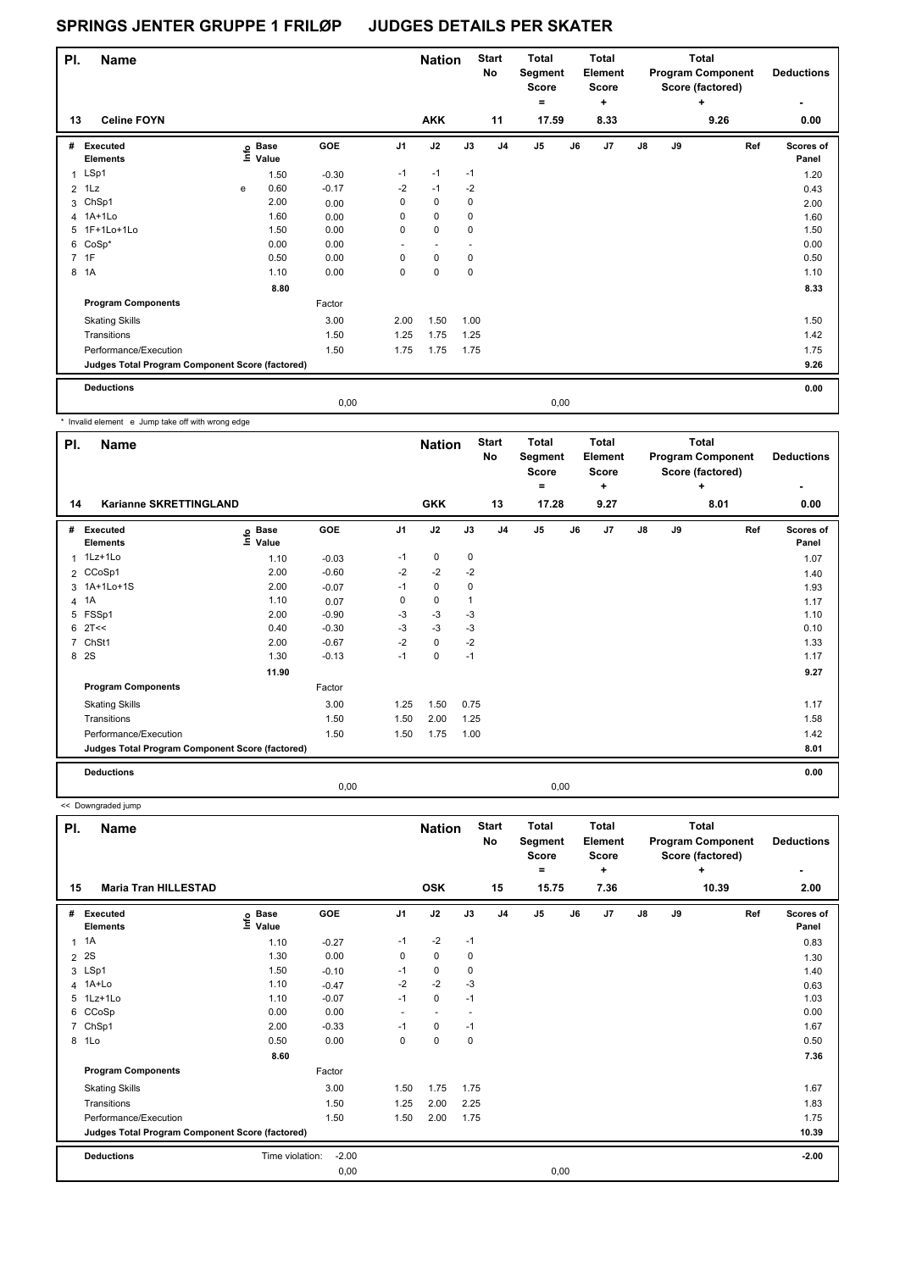| PI.            | <b>Name</b>                                     |   |                                  |         |                          | <b>Nation</b>            |      | <b>Start</b><br>No | <b>Total</b><br>Segment<br><b>Score</b> |      | <b>Total</b><br>Element<br><b>Score</b> |               |    | Total<br><b>Program Component</b><br>Score (factored) | <b>Deductions</b>  |
|----------------|-------------------------------------------------|---|----------------------------------|---------|--------------------------|--------------------------|------|--------------------|-----------------------------------------|------|-----------------------------------------|---------------|----|-------------------------------------------------------|--------------------|
| 13             | <b>Celine FOYN</b>                              |   |                                  |         |                          | <b>AKK</b>               |      | 11                 | ۰<br>17.59                              |      | ٠<br>8.33                               |               |    | ٠<br>9.26                                             | 0.00               |
| #              | Executed<br><b>Elements</b>                     |   | <b>Base</b><br>e Base<br>⊆ Value | GOE     | J <sub>1</sub>           | J2                       | J3   | J <sub>4</sub>     | J <sub>5</sub>                          | J6   | J <sub>7</sub>                          | $\mathsf{J}8$ | J9 | Ref                                                   | Scores of<br>Panel |
|                | 1 LSp1                                          |   | 1.50                             | $-0.30$ | $-1$                     | $-1$                     | $-1$ |                    |                                         |      |                                         |               |    |                                                       | 1.20               |
| $\overline{2}$ | 1Lz                                             | e | 0.60                             | $-0.17$ | $-2$                     | $-1$                     | $-2$ |                    |                                         |      |                                         |               |    |                                                       | 0.43               |
|                | 3 ChSp1                                         |   | 2.00                             | 0.00    | 0                        | $\mathbf 0$              | 0    |                    |                                         |      |                                         |               |    |                                                       | 2.00               |
|                | 4 1A+1Lo                                        |   | 1.60                             | 0.00    | 0                        | 0                        | 0    |                    |                                         |      |                                         |               |    |                                                       | 1.60               |
| 5              | 1F+1Lo+1Lo                                      |   | 1.50                             | 0.00    | 0                        | 0                        | 0    |                    |                                         |      |                                         |               |    |                                                       | 1.50               |
|                | 6 CoSp*                                         |   | 0.00                             | 0.00    | $\overline{\phantom{a}}$ | $\overline{\phantom{a}}$ |      |                    |                                         |      |                                         |               |    |                                                       | 0.00               |
|                | 7 1F                                            |   | 0.50                             | 0.00    | $\Omega$                 | 0                        | 0    |                    |                                         |      |                                         |               |    |                                                       | 0.50               |
| 8              | 1A                                              |   | 1.10                             | 0.00    | 0                        | 0                        | 0    |                    |                                         |      |                                         |               |    |                                                       | 1.10               |
|                |                                                 |   | 8.80                             |         |                          |                          |      |                    |                                         |      |                                         |               |    |                                                       | 8.33               |
|                | <b>Program Components</b>                       |   |                                  | Factor  |                          |                          |      |                    |                                         |      |                                         |               |    |                                                       |                    |
|                | <b>Skating Skills</b>                           |   |                                  | 3.00    | 2.00                     | 1.50                     | 1.00 |                    |                                         |      |                                         |               |    |                                                       | 1.50               |
|                | Transitions                                     |   |                                  | 1.50    | 1.25                     | 1.75                     | 1.25 |                    |                                         |      |                                         |               |    |                                                       | 1.42               |
|                | Performance/Execution                           |   |                                  | 1.50    | 1.75                     | 1.75                     | 1.75 |                    |                                         |      |                                         |               |    |                                                       | 1.75               |
|                | Judges Total Program Component Score (factored) |   |                                  |         |                          |                          |      |                    |                                         |      |                                         |               |    |                                                       | 9.26               |
|                | <b>Deductions</b>                               |   |                                  |         |                          |                          |      |                    |                                         |      |                                         |               |    |                                                       | 0.00               |
|                |                                                 |   |                                  | 0,00    |                          |                          |      |                    |                                         | 0,00 |                                         |               |    |                                                       |                    |

\* Invalid element e Jump take off with wrong edge

| PI.            | <b>Name</b>                                     |                                  |         |                | <b>Nation</b> |             | <b>Start</b><br><b>No</b> | <b>Total</b><br>Segment<br><b>Score</b><br>$=$ |      | <b>Total</b><br>Element<br><b>Score</b><br>٠ |               |    | <b>Total</b><br><b>Program Component</b><br>Score (factored)<br>٠ | <b>Deductions</b>  |
|----------------|-------------------------------------------------|----------------------------------|---------|----------------|---------------|-------------|---------------------------|------------------------------------------------|------|----------------------------------------------|---------------|----|-------------------------------------------------------------------|--------------------|
| 14             | <b>Karianne SKRETTINGLAND</b>                   |                                  |         |                | <b>GKK</b>    |             | 13                        | 17.28                                          |      | 9.27                                         |               |    | 8.01                                                              | 0.00               |
| #              | <b>Executed</b><br><b>Elements</b>              | <b>Base</b><br>e Base<br>E Value | GOE     | J <sub>1</sub> | J2            | J3          | J <sub>4</sub>            | J <sub>5</sub>                                 | J6   | J7                                           | $\mathsf{J}8$ | J9 | Ref                                                               | Scores of<br>Panel |
| $\mathbf{1}$   | 1Lz+1Lo                                         | 1.10                             | $-0.03$ | $-1$           | 0             | 0           |                           |                                                |      |                                              |               |    |                                                                   | 1.07               |
|                | 2 CCoSp1                                        | 2.00                             | $-0.60$ | $-2$           | $-2$          | $-2$        |                           |                                                |      |                                              |               |    |                                                                   | 1.40               |
|                | 3 1A+1Lo+1S                                     | 2.00                             | $-0.07$ | $-1$           | $\mathbf 0$   | $\mathbf 0$ |                           |                                                |      |                                              |               |    |                                                                   | 1.93               |
| $\overline{4}$ | 1A                                              | 1.10                             | 0.07    | 0              | $\mathbf 0$   | 1           |                           |                                                |      |                                              |               |    |                                                                   | 1.17               |
| 5              | FSSp1                                           | 2.00                             | $-0.90$ | -3             | $-3$          | $-3$        |                           |                                                |      |                                              |               |    |                                                                   | 1.10               |
| 6              | 2T<<                                            | 0.40                             | $-0.30$ | $-3$           | $-3$          | $-3$        |                           |                                                |      |                                              |               |    |                                                                   | 0.10               |
|                | 7 ChSt1                                         | 2.00                             | $-0.67$ | $-2$           | $\mathbf 0$   | $-2$        |                           |                                                |      |                                              |               |    |                                                                   | 1.33               |
|                | 8 2S                                            | 1.30                             | $-0.13$ | $-1$           | $\mathbf 0$   | $-1$        |                           |                                                |      |                                              |               |    |                                                                   | 1.17               |
|                |                                                 | 11.90                            |         |                |               |             |                           |                                                |      |                                              |               |    |                                                                   | 9.27               |
|                | <b>Program Components</b>                       |                                  | Factor  |                |               |             |                           |                                                |      |                                              |               |    |                                                                   |                    |
|                | <b>Skating Skills</b>                           |                                  | 3.00    | 1.25           | 1.50          | 0.75        |                           |                                                |      |                                              |               |    |                                                                   | 1.17               |
|                | Transitions                                     |                                  | 1.50    | 1.50           | 2.00          | 1.25        |                           |                                                |      |                                              |               |    |                                                                   | 1.58               |
|                | Performance/Execution                           |                                  | 1.50    | 1.50           | 1.75          | 1.00        |                           |                                                |      |                                              |               |    |                                                                   | 1.42               |
|                | Judges Total Program Component Score (factored) |                                  |         |                |               |             |                           |                                                |      |                                              |               |    |                                                                   | 8.01               |
|                | <b>Deductions</b>                               |                                  |         |                |               |             |                           |                                                |      |                                              |               |    |                                                                   | 0.00               |
|                |                                                 |                                  | 0,00    |                |               |             |                           |                                                | 0,00 |                                              |               |    |                                                                   |                    |

<< Downgraded jump

| PI.            | <b>Name</b>                                     |                           |         |                          | <b>Nation</b>            |                          | <b>Start</b><br>No | Total<br>Segment<br><b>Score</b><br>٠ |    | Total<br>Element<br><b>Score</b><br>٠ |    |    | <b>Total</b><br><b>Program Component</b><br>Score (factored)<br>٠ | <b>Deductions</b>  |
|----------------|-------------------------------------------------|---------------------------|---------|--------------------------|--------------------------|--------------------------|--------------------|---------------------------------------|----|---------------------------------------|----|----|-------------------------------------------------------------------|--------------------|
| 15             | <b>Maria Tran HILLESTAD</b>                     |                           |         |                          | <b>OSK</b>               |                          | 15                 | 15.75                                 |    | 7.36                                  |    |    | 10.39                                                             | 2.00               |
| #              | Executed<br><b>Elements</b>                     | <b>Base</b><br>e<br>Value | GOE     | J <sub>1</sub>           | J2                       | J3                       | J <sub>4</sub>     | J <sub>5</sub>                        | J6 | J7                                    | J8 | J9 | Ref                                                               | Scores of<br>Panel |
| 1              | 1A                                              | 1.10                      | $-0.27$ | $-1$                     | $-2$                     | $-1$                     |                    |                                       |    |                                       |    |    |                                                                   | 0.83               |
| $\overline{2}$ | 2S                                              | 1.30                      | 0.00    | 0                        | $\mathbf 0$              | 0                        |                    |                                       |    |                                       |    |    |                                                                   | 1.30               |
| 3              | LSp1                                            | 1.50                      | $-0.10$ | $-1$                     | 0                        | 0                        |                    |                                       |    |                                       |    |    |                                                                   | 1.40               |
| 4              | 1A+Lo                                           | 1.10                      | $-0.47$ | $-2$                     | $-2$                     | $-3$                     |                    |                                       |    |                                       |    |    |                                                                   | 0.63               |
|                | 5 1Lz+1Lo                                       | 1.10                      | $-0.07$ | $-1$                     | $\mathbf 0$              | $-1$                     |                    |                                       |    |                                       |    |    |                                                                   | 1.03               |
|                | 6 CCoSp                                         | 0.00                      | 0.00    | $\overline{\phantom{a}}$ | $\overline{\phantom{a}}$ | $\overline{\phantom{a}}$ |                    |                                       |    |                                       |    |    |                                                                   | 0.00               |
| $\overline{7}$ | ChSp1                                           | 2.00                      | $-0.33$ | -1                       | 0                        | $-1$                     |                    |                                       |    |                                       |    |    |                                                                   | 1.67               |
| 8              | 1Lo                                             | 0.50                      | 0.00    | 0                        | $\mathbf 0$              | 0                        |                    |                                       |    |                                       |    |    |                                                                   | 0.50               |
|                |                                                 | 8.60                      |         |                          |                          |                          |                    |                                       |    |                                       |    |    |                                                                   | 7.36               |
|                | <b>Program Components</b>                       |                           | Factor  |                          |                          |                          |                    |                                       |    |                                       |    |    |                                                                   |                    |
|                | <b>Skating Skills</b>                           |                           | 3.00    | 1.50                     | 1.75                     | 1.75                     |                    |                                       |    |                                       |    |    |                                                                   | 1.67               |
|                | Transitions                                     |                           | 1.50    | 1.25                     | 2.00                     | 2.25                     |                    |                                       |    |                                       |    |    |                                                                   | 1.83               |
|                | Performance/Execution                           |                           | 1.50    | 1.50                     | 2.00                     | 1.75                     |                    |                                       |    |                                       |    |    |                                                                   | 1.75               |
|                | Judges Total Program Component Score (factored) |                           |         |                          |                          |                          |                    |                                       |    |                                       |    |    |                                                                   | 10.39              |
|                | <b>Deductions</b>                               | Time violation:           | $-2.00$ |                          |                          |                          |                    |                                       |    |                                       |    |    |                                                                   | $-2.00$            |
|                |                                                 |                           | 0,00    |                          |                          |                          |                    | 0,00                                  |    |                                       |    |    |                                                                   |                    |